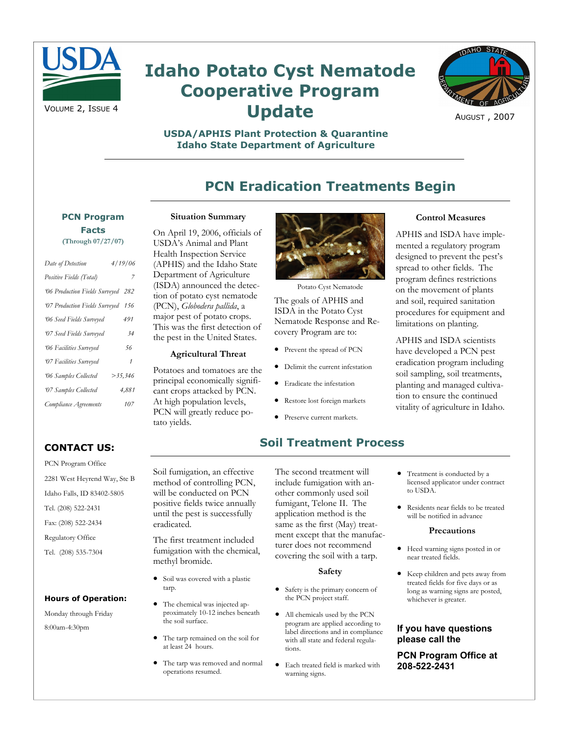

# **Idaho Potato Cyst Nematode Cooperative Program Update**



AUGUST , 2007

### **USDA/APHIS Plant Protection & Quarantine Idaho State Department of Agriculture**

# **PCN Eradication Treatments Begin**

# **PCN Program Facts**

| Date of Detection                  | 4/19/06    |
|------------------------------------|------------|
| Positive Fields (Total)            | 7          |
| '06 Production Fields Surveyed 282 |            |
| '07 Production Fields Surveyed     | 156        |
| 06 Seed Fields Surveyed            | 491        |
| 07 Seed Fields Surveyed            | 34         |
| 06 Facilities Surveyed             | 56         |
| 07 Facilities Surveyed             | 1          |
| '06 Samples Collected              | $>$ 35.346 |
| 07 Samples Collected               | 4.881      |
| Compliance Agreements              | 107        |

#### **Situation Summary**

On April 19, 2006, officials of USDA's Animal and Plant Health Inspection Service (APHIS) and the Idaho State Department of Agriculture (ISDA) announced the detection of potato cyst nematode (PCN), *Globodera pallida*, a major pest of potato crops. This was the first detection of the pest in the United States.

#### **Agricultural Threat**

Potatoes and tomatoes are the principal economically significant crops attacked by PCN. At high population levels, PCN will greatly reduce potato yields.



Potato Cyst Nematode

The goals of APHIS and ISDA in the Potato Cyst Nematode Response and Recovery Program are to:

- Prevent the spread of PCN
- Delimit the current infestation
- Eradicate the infestation
- Restore lost foreign markets
- Preserve current markets.

# **Soil Treatment Process**

The second treatment will include fumigation with another commonly used soil fumigant, Telone II. The application method is the same as the first (May) treatment except that the manufacturer does not recommend covering the soil with a tarp.

#### **Safety**

- Safety is the primary concern of the PCN project staff.
- All chemicals used by the PCN program are applied according to label directions and in compliance with all state and federal regulations.
- Each treated field is marked with warning signs.

#### **Control Measures**

APHIS and ISDA have implemented a regulatory program designed to prevent the pest's spread to other fields. The program defines restrictions on the movement of plants and soil, required sanitation procedures for equipment and limitations on planting.

APHIS and ISDA scientists have developed a PCN pest eradication program including soil sampling, soil treatments, planting and managed cultivation to ensure the continued vitality of agriculture in Idaho.

- Treatment is conducted by a licensed applicator under contract to USDA.
- Residents near fields to be treated will be notified in advance

#### **Precautions**

- Heed warning signs posted in or near treated fields.
- Keep children and pets away from treated fields for five days or as long as warning signs are posted, whichever is greater.

### **If you have questions please call the**

**PCN Program Office at 208-522-2431** 

# **CONTACT US:**

PCN Program Office 2281 West Heyrend Way, Ste B Idaho Falls, ID 83402-5805 Tel. (208) 522-2431 Fax: (208) 522-2434 Regulatory Office Tel. (208) 535-7304

#### **Hours of Operation:**

Monday through Friday 8:00am-4:30pm

Soil fumigation, an effective method of controlling PCN, will be conducted on PCN positive fields twice annually until the pest is successfully eradicated.

The first treatment included fumigation with the chemical, methyl bromide.

- Soil was covered with a plastic tarp.
- The chemical was injected approximately 10-12 inches beneath the soil surface.
- The tarp remained on the soil for at least 24 hours.
- The tarp was removed and normal operations resumed.

**(Through 07/27/07)**